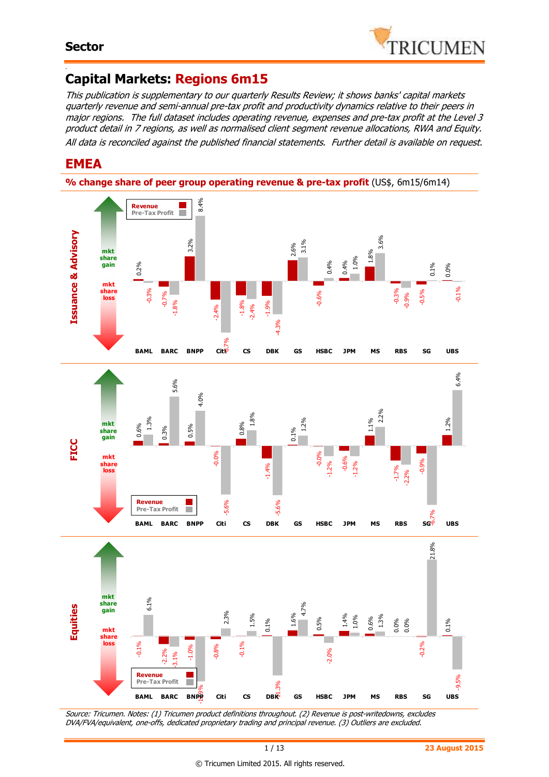

#### - **Capital Markets: Regions 6m15**

This publication is supplementary to our quarterly Results Review; it shows banks' capital markets quarterly revenue and semi-annual pre-tax profit and productivity dynamics relative to their peers in major regions. The full dataset includes operating revenue, expenses and pre-tax profit at the Level 3 product detail in 7 regions, as well as normalised client segment revenue allocations, RWA and Equity. All data is reconciled against the published financial statements. Further detail is available on request.

## **EMEA**





Source: Tricumen. Notes: (1) Tricumen product definitions throughout. (2) Revenue is post-writedowns, excludes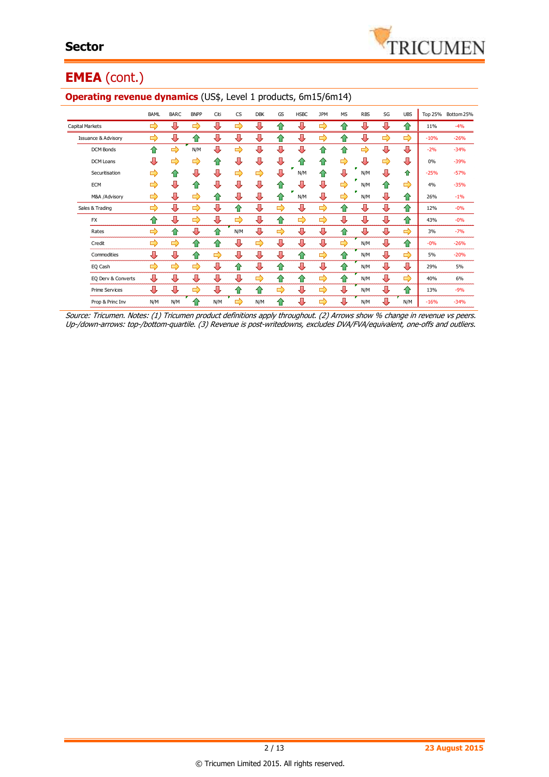## **EMEA** (cont.)

|                                | <b>BAML</b> | <b>BARC</b>   | <b>BNPP</b>   | Citi | <b>CS</b> | <b>DBK</b> | GS | <b>HSBC</b> | <b>JPM</b> | <b>MS</b> | <b>RBS</b> | SG            | <b>UBS</b> | Top 25% | Bottom 25% |
|--------------------------------|-------------|---------------|---------------|------|-----------|------------|----|-------------|------------|-----------|------------|---------------|------------|---------|------------|
| Capital Markets                | ⇨           | ⊕             | ⇨             | ⊕    | ⇨         | ⊕          | 40 | ⇩           | ⇨          | ⇑         | ⇩          | ⊕             | ⇧          | 11%     | $-4%$      |
| <b>Issuance &amp; Advisory</b> | ⇨           | ⊕             | ⇑             | ⊕    | ⇩         | ⇩          | ⇑  | ⊕           | ⇨          | ⇑         | ⇩          | $\Rightarrow$ | ⇨          | $-10%$  | $-26%$     |
| DCM Bonds                      | ⇑           | ⇨             | N/M           | ⇩    | ⇨         | Л          | ⇩  | ⊕           | ⇑          | ⇑         | ⇨          | ⊕             | ⇩          | $-2%$   | $-34%$     |
| DCM Loans                      | ⊕           | ⇨             | ⇨             | ⇑    | ⇩         | ⇩          | ⊕  | 企           | ⇑          | ⇨         | ⇩          | ⇨             | ⇩          | 0%      | $-39%$     |
| Securitisation                 | ⇨           | ⇧             | ⊕             | ⊕    | ⇨         | ⇨          | ⇩  | N/M         | ⇑          | ⊕         | N/M        | ⊕             | ⇧          | $-25%$  | $-57%$     |
| <b>ECM</b>                     | ⇨           | ⊕             | ⇑             | ⊕    | ⇩         | Л          |    |             | л          | ⇨         | N/M        | ⇧             | ⇨          | 4%      | $-35%$     |
| M&A /Advisory                  | ⇨           | ⊕             | ⇨             | ⇑    | ⊕         | ⊕          | 10 | N/M         | ⊕          | ⇨         | N/M        | ⊕             | ⇧          | 26%     | $-1%$      |
| Sales & Trading                | ⇨           | ⊕             | ⇨             | ⊕    | $\bullet$ | ⊕          | ⇨  | ⊕           | ⇨          | ⇑         | ⇩          | ⇩             | ⇧          | 12%     | $-0%$      |
| <b>FX</b>                      | ⇑           | ⊕             | ⇨             | ⇩    | ⇨         | ⇩          | ♠  | ⇨           | ⇨          | ⊕         | ⊕          | ⊕             | ⇧          | 43%     | $-0%$      |
| Rates                          | ⇨           | ⇑             | ⇩             | 企    | N/M       | Л          | ⇨  | ⊕           | ⊕          | ⇑         | ⇩          | ⇩             | ⇨          | 3%      | $-7%$      |
| Credit                         | ⇨           | $\Rightarrow$ | ⇧             | ⇧    | ⊕         | ⇨          | ⇩  | ⊕           | ⊕          | ⇨         | N/M        | ⊕             | ⇧          | $-0%$   | $-26%$     |
| Commodities                    | ⊕           | ⊕             | ⇑             | ⇨    | ⊕         | ⊕          | ⊕  | ⇑           | ⇨          | ⇑         | N/M        | ⊕             | ⇨          | 5%      | $-20%$     |
| EQ Cash                        | ⇨           | $\Rightarrow$ | $\Rightarrow$ | ⊕    | ⇑         | ⇩          | ⇑  | ⊕           | л          | ⇑         | N/M        | ⊕             | ⊕          | 29%     | 5%         |
| EQ Derv & Converts             | ⊕           | ⊕             | ⊕             | ⊕    | ⊕         | ⇨          | ⇑  | ⇑           | ⇨          | ♠         | N/M        | ⊕             | ⇨          | 40%     | 6%         |
| <b>Prime Services</b>          | ⊕           | ⊕             | ➡             | ⊕    | ⇑         | ⇑          | ⇨  | ⊕           | ⇛          | ⊕         | N/M        | ⊕             | ⇑          | 13%     | $-9%$      |
| Prop & Princ Inv               | N/M         | N/M           | ⇑             | N/M  | ⇨         | N/M        | ♠  | 具           | ⇨          | ⇩         | N/M        | ⊕             | N/M        | $-16%$  | $-34%$     |

#### **Operating revenue dynamics** (US\$, Level 1 products, 6m15/6m14)

Source: Tricumen. Notes: (1) Tricumen product definitions apply throughout. (2) Arrows show % change in revenue vs peers. Up-/down-arrows: top-/bottom-quartile. (3) Revenue is post-writedowns, excludes DVA/FVA/equivalent, one-offs and outliers.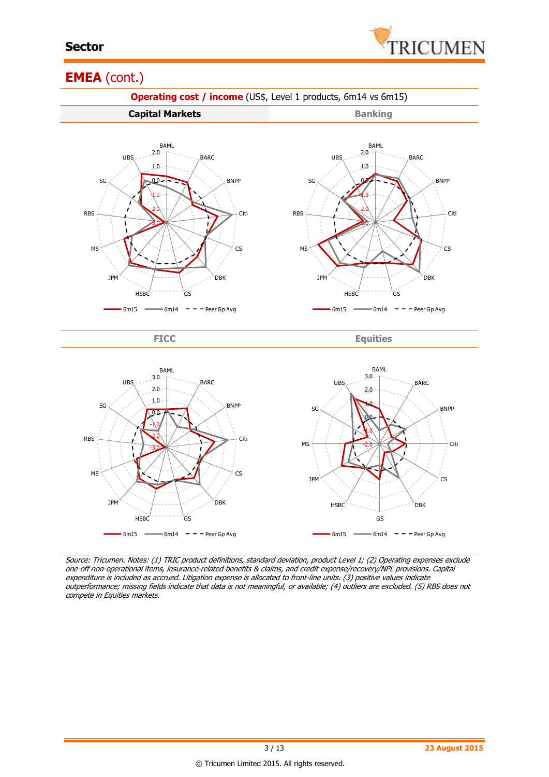

#### **EMEA** (cont.)



Source: Tricumen. Notes: (1) TRIC product definitions, standard deviation, product Level 1; (2) Operating expenses exclude one-off non-operational items, insurance-related benefits & claims, and credit expense/recovery/NPL provisions. Capital expenditure is included as accrued. Litigation expense is allocated to front-line units. (3) positive values indicate outperformance; missing fields indicate that data is not meaningful, or available; (4) outliers are excluded. (5) RBS does not compete in Equities markets.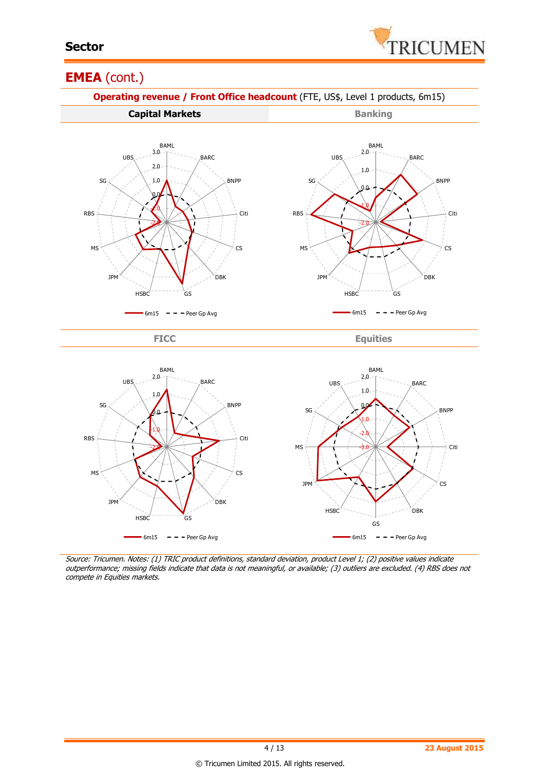

#### **EMEA** (cont.)



Source: Tricumen. Notes: (1) TRIC product definitions, standard deviation, product Level 1; (2) positive values indicate outperformance; missing fields indicate that data is not meaningful, or available; (3) outliers are excluded. (4) RBS does not

compete in Equities markets.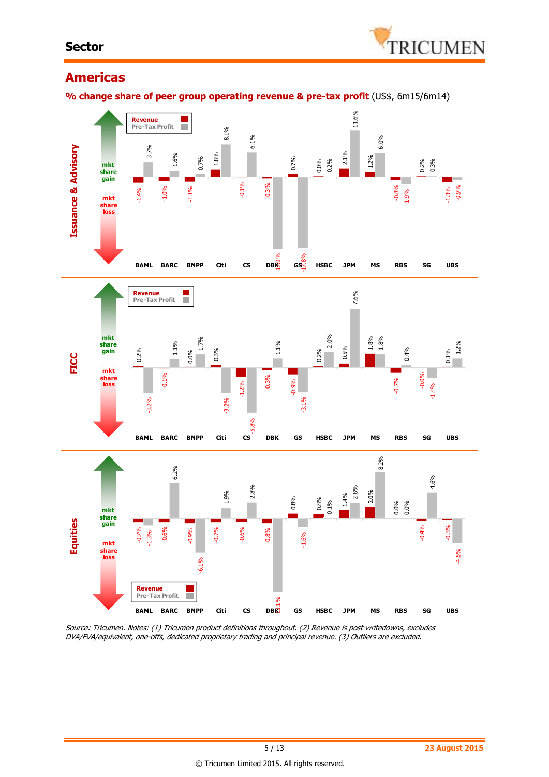#### **Sector**



#### **Americas**



Source: Tricumen. Notes: (1) Tricumen product definitions throughout. (2) Revenue is post-writedowns, excludes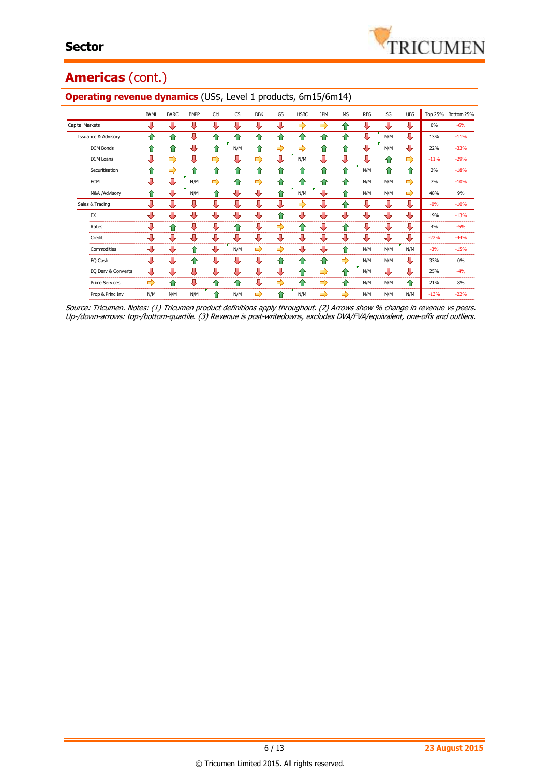## **Americas** (cont.)

|                                | <b>BAML</b> | <b>BARC</b> | <b>BNPP</b> | Citi | <b>CS</b> | <b>DBK</b>         | GS                | <b>HSBC</b> | <b>JPM</b> | <b>MS</b>     | <b>RBS</b> | SG  | <b>UBS</b> |        | Top 25% Bottom 25% |
|--------------------------------|-------------|-------------|-------------|------|-----------|--------------------|-------------------|-------------|------------|---------------|------------|-----|------------|--------|--------------------|
| <b>Capital Markets</b>         | л           | ⊕           | ⊕           | ⊕    | л         | л                  | JL                | ⇨           | ⇨          | ങ             | ⊕          | ⊕   | ⊕          | 0%     | $-6%$              |
| <b>Issuance &amp; Advisory</b> | ⇑           | ⇑           | ⊕           | ⇑    | ⇑         | 企                  | ങ                 | ങ           | 仆          | ⇑             | л          | N/M | ⊕          | 13%    | $-11%$             |
| <b>DCM Bonds</b>               | ⇧           | ♠           | ⊕           | 仐    | N/M       | $\hat{\mathbf{T}}$ | ⇨                 | ⇨           | 企          | 企             | ⊕          | N/M | ⊕          | 22%    | $-33%$             |
| <b>DCM Loans</b>               | ⊕           | ⇨           | ⊕           | ⇨    | ⇩         | ⇨                  | ⊕                 | N/M         | ⇩          | л             | ⊕          | ⇑   | ⇨          | $-11%$ | $-29%$             |
| Securitisation                 | ⇑           | ⇨           | ⇑           | ⇑    | ⇑         | ⇑                  | ≏                 | 1.          | ⇑          | $\bigcirc$    | N/M        | ⇑   | ⇑          | 2%     | $-18%$             |
| <b>ECM</b>                     | ⊕           | ⊕           | N/M         | ⇨    | 仐         | ⇨                  | ⇑                 | 40          | ⇑          | ⇑             | N/M        | N/M | ⇨          | 7%     | $-10%$             |
| M&A /Advisory                  | ⇑           | л           | N/M         | ⇑    | ⊕         | ⊕                  | ങ                 | N/M         | J,         | ⇑             | N/M        | N/M | ⇨          | 48%    | 9%                 |
| Sales & Trading                | ⊕           | ⊕           | ⊕           | ⊕    | ⊕         | ⊕                  | ⊕                 | ⇨           | ⊕          | ⇑             | ⊕          | ⊕   | ⊕          | $-0%$  | $-10%$             |
| <b>FX</b>                      | ⇩           | ⊕           | ⇩           | ⊕    | ⊕         | ⊕                  | ⇑                 | ⊕           | ⇩          | ⊕             | ⊕          | ⊕   | ⊕          | 19%    | $-13%$             |
| Rates                          | ⊕           | ⇑           | ⊕           | ⊕    | 仐         | ⊕                  | $\Rightarrow$     | ⇑           | ⊕          | 企             | ⊕          | ⊕   | ⊕          | 4%     | $-5%$              |
| Credit                         | ⊕           | ⊕           | ⊕           | ⊕    | ⊕         | ⊕                  | ⊕                 | ⊕           | ⊕          | ⊕             | ⊕          | ⊕   | ⊕          | $-22%$ | $-44%$             |
| Commodities                    | ⊕           | ⊕           | ⇑           | ⊕    | N/M       | ⇨                  | ⇨                 | ⇩           | ⊕          | ⇑             | N/M        | N/M | N/M        | $-3%$  | $-15%$             |
| EQ Cash                        | ⊕           | ⊕           | ⇑           | ⊕    | ⊕         | ⊕                  | $\curvearrowleft$ | ⇑           | ⇑          | $\Rightarrow$ | N/M        | N/M | ⊕          | 33%    | 0%                 |
| EQ Derv & Converts             | ⊕           | ⊕           | ⊕           | ⊕    | ⊕         | ⊕                  | ⊕                 | ⇑           | ⇨          | 企             | N/M        | ⊕   | ⊕          | 25%    | $-4%$              |
| <b>Prime Services</b>          | ⇨           | ⇑           | ⊕           | ⇑    | 仐         | ⊕                  | ⇨                 | ⇑           | ⇨          | ⇑             | N/M        | N/M | 仐          | 21%    | 8%                 |
| Prop & Princ Inv               | N/M         | N/M         | N/M         | ങ    | N/M       | ⇨                  | ⇑                 | N/M         | ⇨          | ⇨             | N/M        | N/M | N/M        | $-13%$ | $-22%$             |

#### **Operating revenue dynamics** (US\$, Level 1 products, 6m15/6m14)

Source: Tricumen. Notes: (1) Tricumen product definitions apply throughout. (2) Arrows show % change in revenue vs peers. Up-/down-arrows: top-/bottom-quartile. (3) Revenue is post-writedowns, excludes DVA/FVA/equivalent, one-offs and outliers.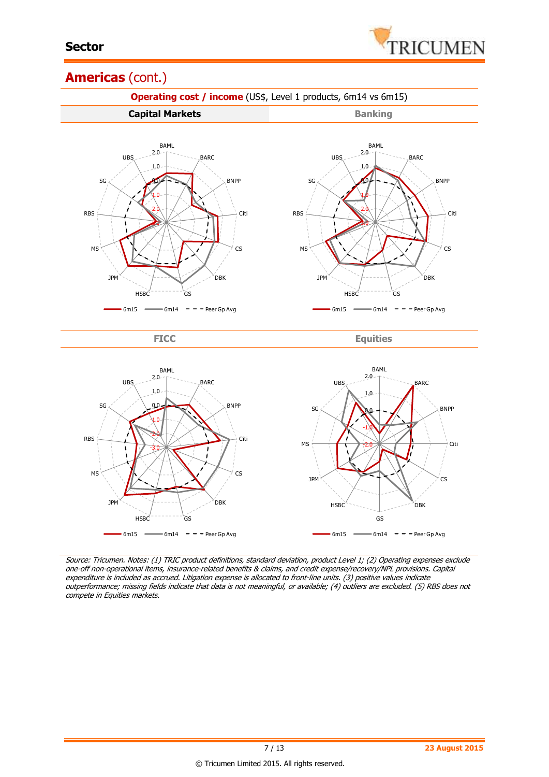

#### **Americas** (cont.)



Source: Tricumen. Notes: (1) TRIC product definitions, standard deviation, product Level 1; (2) Operating expenses exclude one-off non-operational items, insurance-related benefits & claims, and credit expense/recovery/NPL provisions. Capital expenditure is included as accrued. Litigation expense is allocated to front-line units. (3) positive values indicate outperformance; missing fields indicate that data is not meaningful, or available; (4) outliers are excluded. (5) RBS does not compete in Equities markets.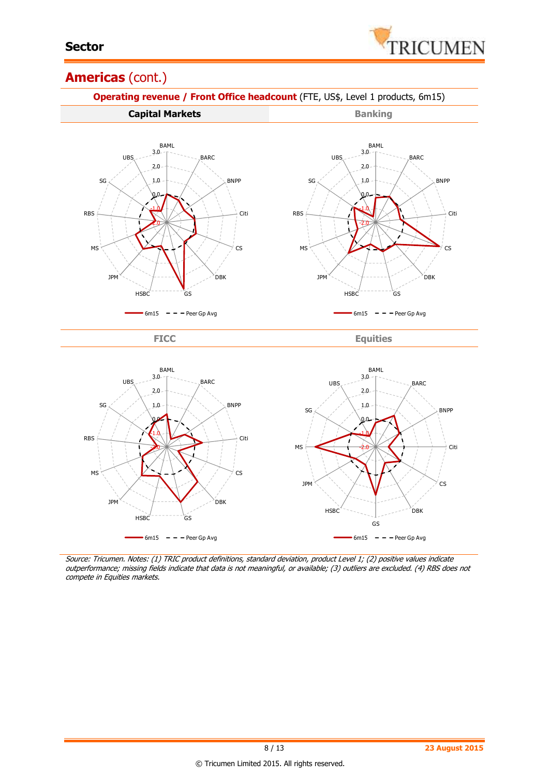

#### **Americas** (cont.)



Source: Tricumen. Notes: (1) TRIC product definitions, standard deviation, product Level 1; (2) positive values indicate outperformance; missing fields indicate that data is not meaningful, or available; (3) outliers are excluded. (4) RBS does not compete in Equities markets.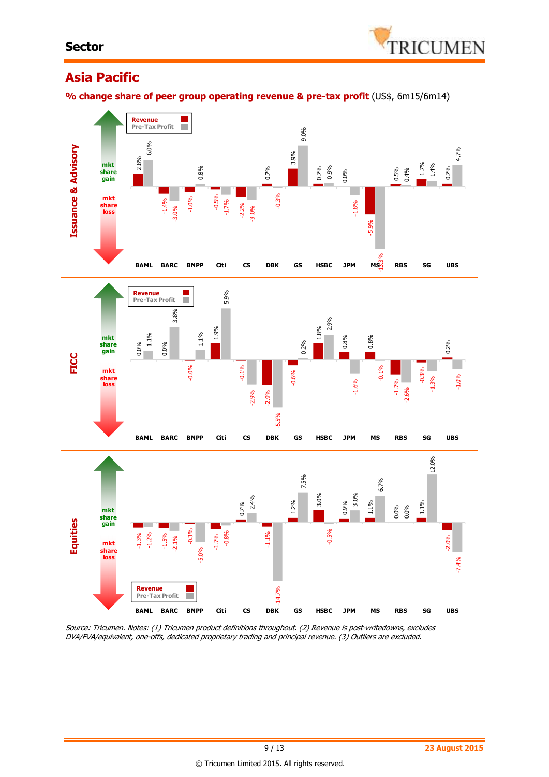

## **Asia Pacific**

**% change share of peer group operating revenue & pre-tax profit** (US\$, 6m15/6m14)



Source: Tricumen. Notes: (1) Tricumen product definitions throughout. (2) Revenue is post-writedowns, excludes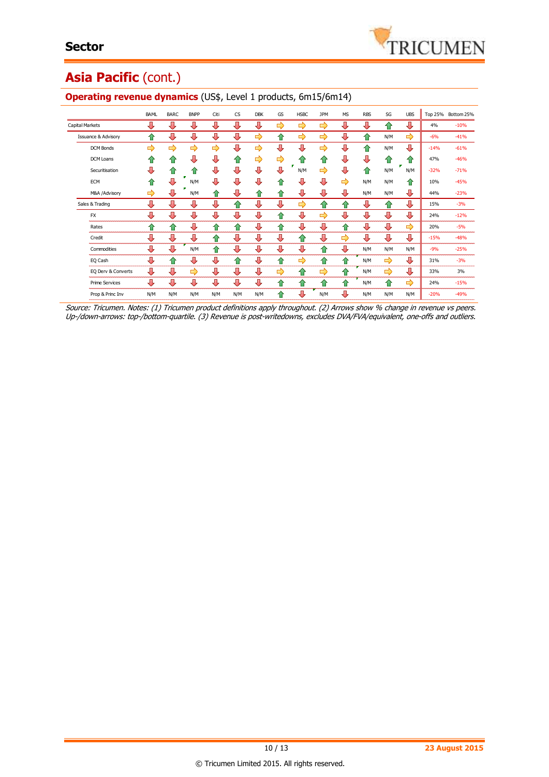# Asia Pacific (cont.)

|                                | <b>BAML</b> | <b>BARC</b> | <b>BNPP</b> | Citi          | <b>CS</b> | <b>DBK</b> | GS            | <b>HSBC</b> | <b>JPM</b> | <b>MS</b> | <b>RBS</b> | SG  | <b>UBS</b>    |        | Top 25% Bottom 25% |
|--------------------------------|-------------|-------------|-------------|---------------|-----------|------------|---------------|-------------|------------|-----------|------------|-----|---------------|--------|--------------------|
| <b>Capital Markets</b>         | ⊕           | ⊕           | ⊕           | ⊕             | л         | ⊕          | ⇨             | ⇨           | ⇨          | л         | ⊕          | ≏   | ⊕             | 4%     | $-10%$             |
| <b>Issuance &amp; Advisory</b> | ⇑           | ⊕           | ⊕           | ⊕             | ⊕         | ⇨          | ⇑             | ⇨           | ⇨          | ⊕         | ⇑          | N/M | ⇨             | $-6%$  | $-41%$             |
| <b>DCM Bonds</b>               | ⇨           | ⇨           | ⇨           | $\Rightarrow$ | ⊕         | ⇨          | ⇩             | л           | ⇨          | ⊕         | ⇑          | N/M | ⊕             | $-14%$ | $-61%$             |
| DCM Loans                      | ⇑           | ⇑           | л           | л             | ⇑         | ⇨          | $\Rightarrow$ | 仆           | ⇑          | ⊕         | ⊕          | ⇑   | 仆             | 47%    | $-46%$             |
| Securitisation                 | Д           | ⇑           | ⇑           | ⊕             | ⇩         | л          | л             | N/M         | ⇨          | ⊕         | ⇑          | N/M | N/M           | $-32%$ | $-71%$             |
| <b>ECM</b>                     | ⇑           | ⊕           | N/M         | Л             | Д         | л          | 10            | л           | ⇩          | ⇨         | N/M        | N/M | ⇑             | 10%    | $-45%$             |
| M&A /Advisory                  | ⇨           | ⊕           | N/M         | ⇑             | ⊕         | ⇑          | ⇑             | л           | л          | л         | N/M        | N/M | ⊕             | 44%    | $-23%$             |
| Sales & Trading                | Д           | ⇩           | ⊕           | ⇩             | ⇑         | ⊕          | ⇩             | ⇨           | ⇑          | ⇑         | ⊕          | ⇑   | ⊕             | 15%    | $-3%$              |
| <b>FX</b>                      | J           | ⇩           | ⊕           | ⊕             | ⊕         | ⊕          | ⇑             | ⇩           | ⇨          | ⊕         | ⊕          | ⊕   | ⊕             | 24%    | $-12%$             |
| Rates                          | ⇑           | 企           | ⊕           | 企             | ⇑         | ⊕          | ⇑             | ⊕           | ⊕          | 企         | ⊕          | ⊕   | ⇨             | 20%    | $-5%$              |
| Credit                         | ⊕           | ⊕           | ⊕           | ⇑             | ⊕         | ⊕          | ⊕             | 企           | ⊕          | ⇨         | ⊕          | ⊕   | ⊕             | $-15%$ | $-48%$             |
| Commodities                    | ⊕           | ⇩           | N/M         | ⇑             | ⊕         | ⊕          | ⊕             | ⇩           | ⇑          | ⇩         | N/M        | N/M | N/M           | $-9%$  | $-25%$             |
| EQ Cash                        | ⊕           | ⇑           | ⊕           | ⊕             | ⇑         | ⊕          | ⇑             | ⇨           | 企          | ⇑         | N/M        | ⇨   | ⊕             | 31%    | $-3%$              |
| EQ Derv & Converts             | ⊕           | ⊕           | ⇨           | ⊕             | ⊕         | ⊕          | ⇨             | ⇑           | ⇨          | ⇑         | N/M        | ⇨   | ⊕             | 33%    | 3%                 |
| <b>Prime Services</b>          | ⊕           | ⊕           | ⊕           | ⊕             | ⊕         | ⊕          | ⇑             | ⇑           | ⇑          | ⇑         | N/M        | ⇑   | $\Rightarrow$ | 24%    | $-15%$             |
| Prop & Princ Inv               | N/M         | N/M         | N/M         | N/M           | N/M       | N/M        | ⇑             | ⇩           | N/M        | ⊕         | N/M        | N/M | N/M           | $-20%$ | $-49%$             |

#### **Operating revenue dynamics** (US\$, Level 1 products, 6m15/6m14)

Source: Tricumen. Notes: (1) Tricumen product definitions apply throughout. (2) Arrows show % change in revenue vs peers. Up-/down-arrows: top-/bottom-quartile. (3) Revenue is post-writedowns, excludes DVA/FVA/equivalent, one-offs and outliers.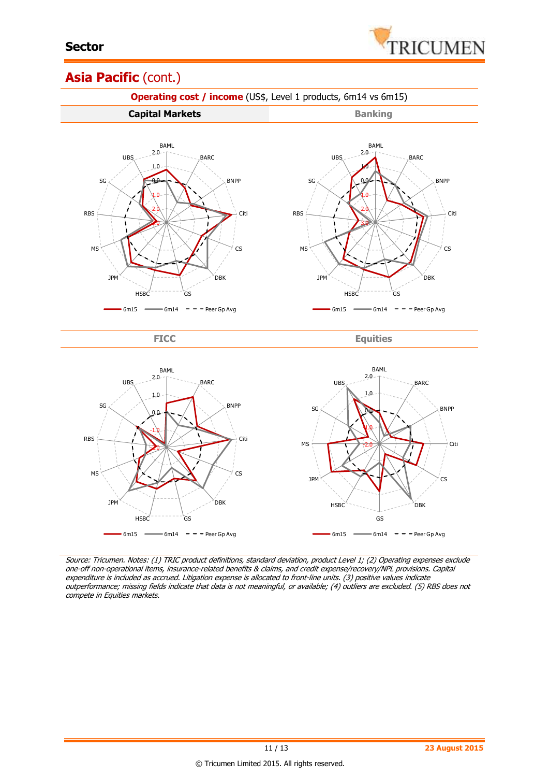

### Asia Pacific (cont.)



Source: Tricumen. Notes: (1) TRIC product definitions, standard deviation, product Level 1; (2) Operating expenses exclude one-off non-operational items, insurance-related benefits & claims, and credit expense/recovery/NPL provisions. Capital expenditure is included as accrued. Litigation expense is allocated to front-line units. (3) positive values indicate outperformance; missing fields indicate that data is not meaningful, or available; (4) outliers are excluded. (5) RBS does not compete in Equities markets.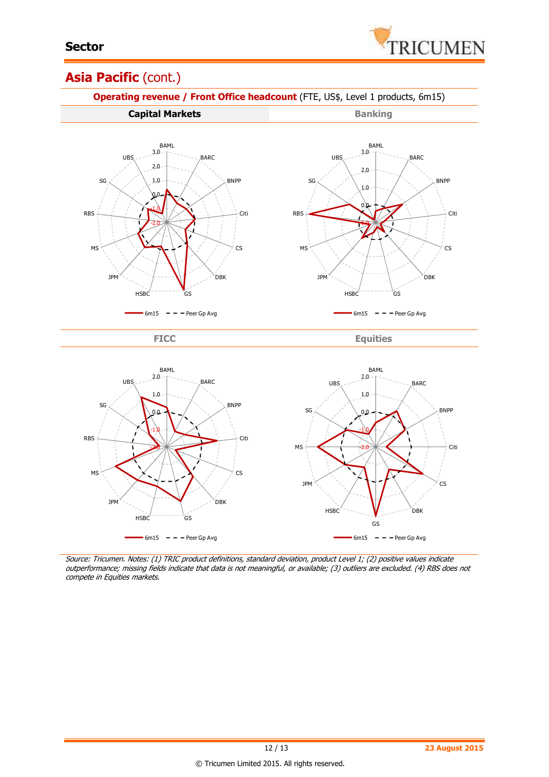

### **Asia Pacific** (cont.)



 $-$  6m15  $-$  Peer Gp Avg

Source: Tricumen. Notes: (1) TRIC product definitions, standard deviation, product Level 1; (2) positive values indicate outperformance; missing fields indicate that data is not meaningful, or available; (3) outliers are excluded. (4) RBS does not compete in Equities markets.